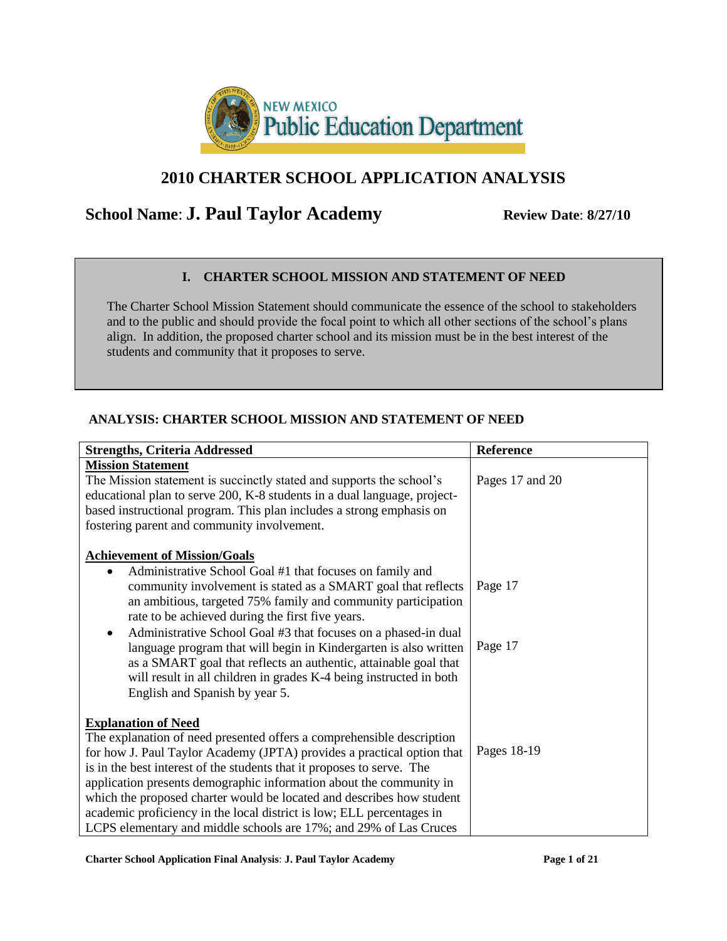

# **2010 CHARTER SCHOOL APPLICATION ANALYSIS**

# **School Name: <b>J. Paul Taylor Academy Review Date: 8/27/10**

# **I. CHARTER SCHOOL MISSION AND STATEMENT OF NEED**

The Charter School Mission Statement should communicate the essence of the school to stakeholders and to the public and should provide the focal point to which all other sections of the school's plans align. In addition, the proposed charter school and its mission must be in the best interest of the students and community that it proposes to serve.

# **ANALYSIS: CHARTER SCHOOL MISSION AND STATEMENT OF NEED**

| <b>Strengths, Criteria Addressed</b>                                                                                                                                                                                                                                                                                                                                                                                                                                                                                    | Reference       |
|-------------------------------------------------------------------------------------------------------------------------------------------------------------------------------------------------------------------------------------------------------------------------------------------------------------------------------------------------------------------------------------------------------------------------------------------------------------------------------------------------------------------------|-----------------|
| <b>Mission Statement</b><br>The Mission statement is succinctly stated and supports the school's<br>educational plan to serve 200, K-8 students in a dual language, project-<br>based instructional program. This plan includes a strong emphasis on                                                                                                                                                                                                                                                                    | Pages 17 and 20 |
| fostering parent and community involvement.                                                                                                                                                                                                                                                                                                                                                                                                                                                                             |                 |
| <b>Achievement of Mission/Goals</b><br>Administrative School Goal #1 that focuses on family and                                                                                                                                                                                                                                                                                                                                                                                                                         |                 |
| community involvement is stated as a SMART goal that reflects<br>an ambitious, targeted 75% family and community participation<br>rate to be achieved during the first five years.                                                                                                                                                                                                                                                                                                                                      | Page 17         |
| Administrative School Goal #3 that focuses on a phased-in dual<br>٠<br>language program that will begin in Kindergarten is also written<br>as a SMART goal that reflects an authentic, attainable goal that<br>will result in all children in grades K-4 being instructed in both<br>English and Spanish by year 5.                                                                                                                                                                                                     | Page 17         |
| <b>Explanation of Need</b>                                                                                                                                                                                                                                                                                                                                                                                                                                                                                              |                 |
| The explanation of need presented offers a comprehensible description<br>for how J. Paul Taylor Academy (JPTA) provides a practical option that<br>is in the best interest of the students that it proposes to serve. The<br>application presents demographic information about the community in<br>which the proposed charter would be located and describes how student<br>academic proficiency in the local district is low; ELL percentages in<br>LCPS elementary and middle schools are 17%; and 29% of Las Cruces | Pages 18-19     |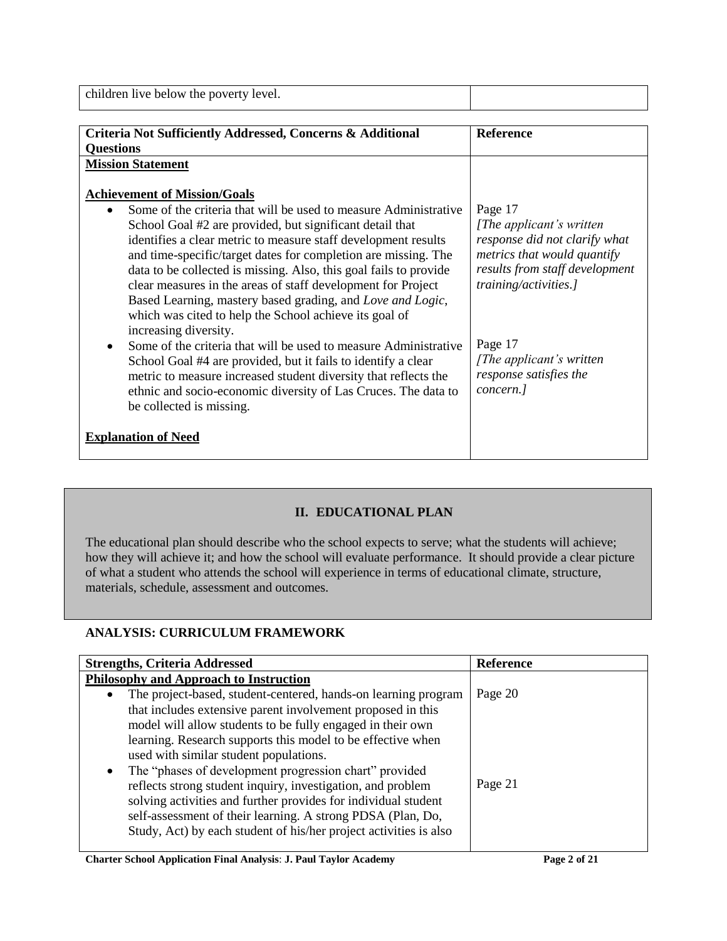| children live below the poverty level.                                         |                                |
|--------------------------------------------------------------------------------|--------------------------------|
| Criteria Not Sufficiently Addressed, Concerns & Additional<br><b>Questions</b> | <b>Reference</b>               |
| <b>Mission Statement</b>                                                       |                                |
| <b>Achievement of Mission/Goals</b>                                            |                                |
| Some of the criteria that will be used to measure Administrative<br>$\bullet$  | Page 17                        |
| School Goal #2 are provided, but significant detail that                       | [The applicant's written]      |
| identifies a clear metric to measure staff development results                 | response did not clarify what  |
| and time-specific/target dates for completion are missing. The                 | metrics that would quantify    |
| data to be collected is missing. Also, this goal fails to provide              | results from staff development |

clear measures in the areas of staff development for Project Based Learning, mastery based grading, and *Love and Logic*,

which was cited to help the School achieve its goal of

| $\bullet$ | increasing diversity.<br>Some of the criteria that will be used to measure Administrative<br>School Goal #4 are provided, but it fails to identify a clear<br>metric to measure increased student diversity that reflects the<br>ethnic and socio-economic diversity of Las Cruces. The data to<br>be collected is missing. | Page 17<br>[The applicant's written]<br>response satisfies the<br>concern.] |
|-----------|-----------------------------------------------------------------------------------------------------------------------------------------------------------------------------------------------------------------------------------------------------------------------------------------------------------------------------|-----------------------------------------------------------------------------|
|           | <b>Explanation of Need</b>                                                                                                                                                                                                                                                                                                  |                                                                             |

# **II. EDUCATIONAL PLAN**

The educational plan should describe who the school expects to serve; what the students will achieve; how they will achieve it; and how the school will evaluate performance. It should provide a clear picture of what a student who attends the school will experience in terms of educational climate, structure, materials, schedule, assessment and outcomes.

# **ANALYSIS: CURRICULUM FRAMEWORK**

l

| <b>Strengths, Criteria Addressed</b>                                        | Reference |
|-----------------------------------------------------------------------------|-----------|
| <b>Philosophy and Approach to Instruction</b>                               |           |
| The project-based, student-centered, hands-on learning program<br>$\bullet$ | Page 20   |
| that includes extensive parent involvement proposed in this                 |           |
| model will allow students to be fully engaged in their own                  |           |
| learning. Research supports this model to be effective when                 |           |
| used with similar student populations.                                      |           |
| The "phases of development progression chart" provided<br>$\bullet$         |           |
| reflects strong student inquiry, investigation, and problem                 | Page 21   |
| solving activities and further provides for individual student              |           |
| self-assessment of their learning. A strong PDSA (Plan, Do,                 |           |
| Study, Act) by each student of his/her project activities is also           |           |
|                                                                             |           |

*training/activities.]*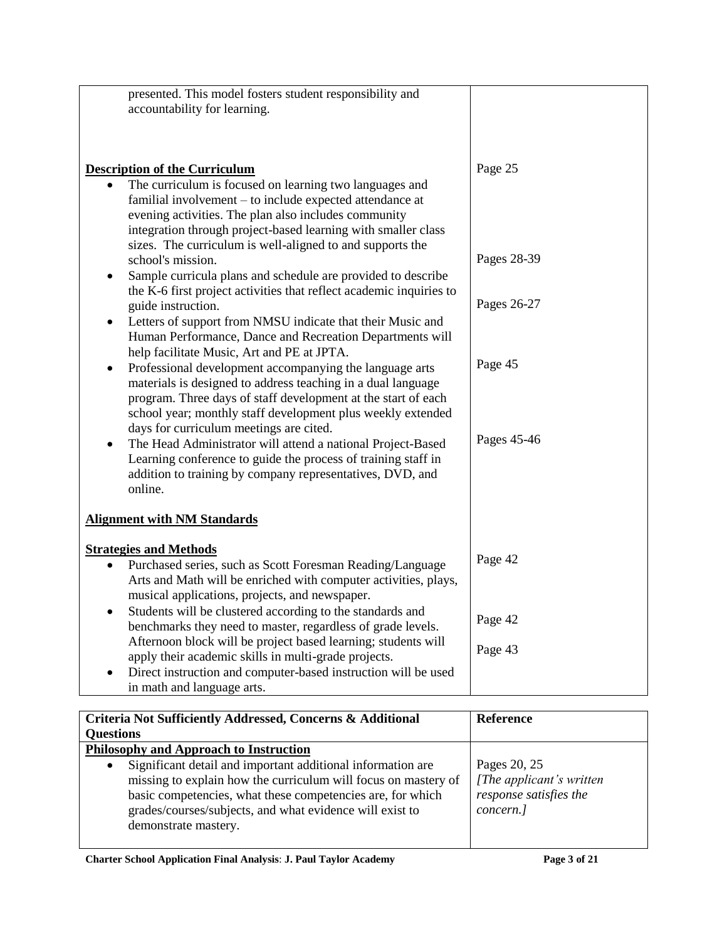| presented. This model fosters student responsibility and                  |             |
|---------------------------------------------------------------------------|-------------|
| accountability for learning.                                              |             |
|                                                                           |             |
|                                                                           |             |
|                                                                           |             |
| <b>Description of the Curriculum</b>                                      | Page 25     |
| The curriculum is focused on learning two languages and<br>$\bullet$      |             |
| familial involvement - to include expected attendance at                  |             |
| evening activities. The plan also includes community                      |             |
| integration through project-based learning with smaller class             |             |
| sizes. The curriculum is well-aligned to and supports the                 |             |
| school's mission.                                                         | Pages 28-39 |
|                                                                           |             |
| Sample curricula plans and schedule are provided to describe<br>$\bullet$ |             |
| the K-6 first project activities that reflect academic inquiries to       |             |
| guide instruction.                                                        | Pages 26-27 |
| Letters of support from NMSU indicate that their Music and<br>$\bullet$   |             |
| Human Performance, Dance and Recreation Departments will                  |             |
| help facilitate Music, Art and PE at JPTA.                                |             |
| Professional development accompanying the language arts<br>$\bullet$      | Page 45     |
| materials is designed to address teaching in a dual language              |             |
| program. Three days of staff development at the start of each             |             |
| school year; monthly staff development plus weekly extended               |             |
| days for curriculum meetings are cited.                                   |             |
| The Head Administrator will attend a national Project-Based<br>$\bullet$  | Pages 45-46 |
| Learning conference to guide the process of training staff in             |             |
| addition to training by company representatives, DVD, and                 |             |
| online.                                                                   |             |
|                                                                           |             |
| <b>Alignment with NM Standards</b>                                        |             |
|                                                                           |             |
| <b>Strategies and Methods</b>                                             |             |
| Purchased series, such as Scott Foresman Reading/Language                 | Page 42     |
| Arts and Math will be enriched with computer activities, plays,           |             |
| musical applications, projects, and newspaper.                            |             |
| Students will be clustered according to the standards and<br>$\bullet$    |             |
| benchmarks they need to master, regardless of grade levels.               | Page 42     |
| Afternoon block will be project based learning; students will             |             |
| apply their academic skills in multi-grade projects.                      | Page 43     |
| Direct instruction and computer-based instruction will be used            |             |
| in math and language arts.                                                |             |

| Criteria Not Sufficiently Addressed, Concerns & Additional<br><b>Questions</b>                                                                                                                                                                                                               | <b>Reference</b>                                                                 |
|----------------------------------------------------------------------------------------------------------------------------------------------------------------------------------------------------------------------------------------------------------------------------------------------|----------------------------------------------------------------------------------|
| Philosophy and Approach to Instruction                                                                                                                                                                                                                                                       |                                                                                  |
| Significant detail and important additional information are<br>$\bullet$<br>missing to explain how the curriculum will focus on mastery of<br>basic competencies, what these competencies are, for which<br>grades/courses/subjects, and what evidence will exist to<br>demonstrate mastery. | Pages 20, 25<br>[The applicant's written]<br>response satisfies the<br>concern.] |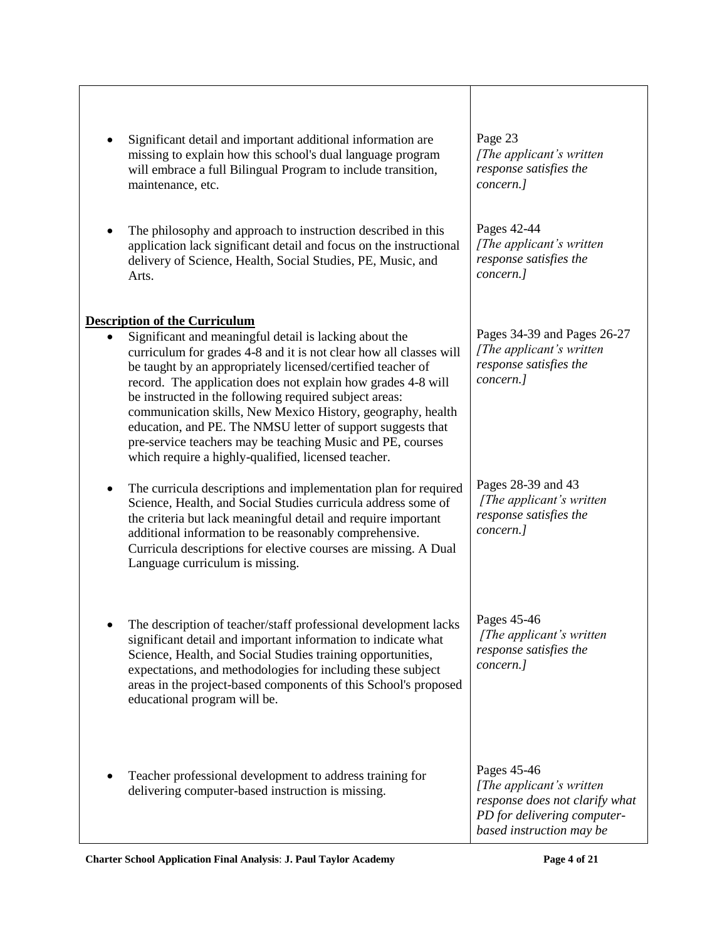| Significant detail and important additional information are<br>missing to explain how this school's dual language program<br>will embrace a full Bilingual Program to include transition,<br>maintenance, etc.<br>The philosophy and approach to instruction described in this<br>application lack significant detail and focus on the instructional<br>delivery of Science, Health, Social Studies, PE, Music, and<br>Arts.                                                                                                                                                                                                  | Page 23<br>[The applicant's written]<br>response satisfies the<br>concern.]<br>Pages 42-44<br>[The applicant's written<br>response satisfies the<br>concern.] |
|-------------------------------------------------------------------------------------------------------------------------------------------------------------------------------------------------------------------------------------------------------------------------------------------------------------------------------------------------------------------------------------------------------------------------------------------------------------------------------------------------------------------------------------------------------------------------------------------------------------------------------|---------------------------------------------------------------------------------------------------------------------------------------------------------------|
|                                                                                                                                                                                                                                                                                                                                                                                                                                                                                                                                                                                                                               |                                                                                                                                                               |
| <b>Description of the Curriculum</b><br>Significant and meaningful detail is lacking about the<br>$\bullet$<br>curriculum for grades 4-8 and it is not clear how all classes will<br>be taught by an appropriately licensed/certified teacher of<br>record. The application does not explain how grades 4-8 will<br>be instructed in the following required subject areas:<br>communication skills, New Mexico History, geography, health<br>education, and PE. The NMSU letter of support suggests that<br>pre-service teachers may be teaching Music and PE, courses<br>which require a highly-qualified, licensed teacher. | Pages 34-39 and Pages 26-27<br>[The applicant's written]<br>response satisfies the<br>concern.]                                                               |
| The curricula descriptions and implementation plan for required<br>$\bullet$<br>Science, Health, and Social Studies curricula address some of<br>the criteria but lack meaningful detail and require important<br>additional information to be reasonably comprehensive.<br>Curricula descriptions for elective courses are missing. A Dual<br>Language curriculum is missing.                                                                                                                                                                                                                                                | Pages 28-39 and 43<br>[The applicant's written]<br>response satisfies the<br>concern.]                                                                        |
| The description of teacher/staff professional development lacks<br>significant detail and important information to indicate what<br>Science, Health, and Social Studies training opportunities,<br>expectations, and methodologies for including these subject<br>areas in the project-based components of this School's proposed<br>educational program will be.                                                                                                                                                                                                                                                             | Pages 45-46<br>[The applicant's written<br>response satisfies the<br>concern.]                                                                                |
| Teacher professional development to address training for<br>delivering computer-based instruction is missing.                                                                                                                                                                                                                                                                                                                                                                                                                                                                                                                 | Pages 45-46<br>[The applicant's written]<br>response does not clarify what<br>PD for delivering computer-<br>based instruction may be                         |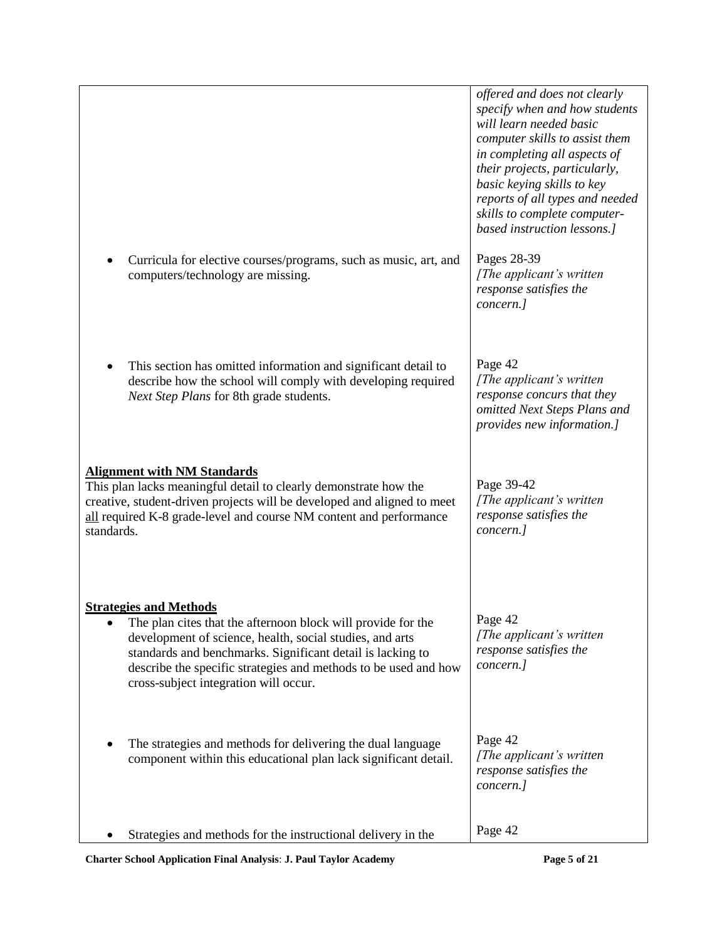|                                                                                                                                                                                                                                                                                                                                     | offered and does not clearly<br>specify when and how students<br>will learn needed basic<br>computer skills to assist them<br>in completing all aspects of<br>their projects, particularly,<br>basic keying skills to key<br>reports of all types and needed<br>skills to complete computer-<br>based instruction lessons.] |
|-------------------------------------------------------------------------------------------------------------------------------------------------------------------------------------------------------------------------------------------------------------------------------------------------------------------------------------|-----------------------------------------------------------------------------------------------------------------------------------------------------------------------------------------------------------------------------------------------------------------------------------------------------------------------------|
| Curricula for elective courses/programs, such as music, art, and<br>computers/technology are missing.                                                                                                                                                                                                                               | Pages 28-39<br>[The applicant's written]<br>response satisfies the<br>concern.]                                                                                                                                                                                                                                             |
| This section has omitted information and significant detail to<br>describe how the school will comply with developing required<br>Next Step Plans for 8th grade students.                                                                                                                                                           | Page 42<br>[The applicant's written]<br>response concurs that they<br>omitted Next Steps Plans and<br>provides new information.]                                                                                                                                                                                            |
| <b>Alignment with NM Standards</b><br>This plan lacks meaningful detail to clearly demonstrate how the<br>creative, student-driven projects will be developed and aligned to meet<br>all required K-8 grade-level and course NM content and performance<br>standards.                                                               | Page 39-42<br>[The applicant's written]<br>response satisfies the<br>concern.]                                                                                                                                                                                                                                              |
| <b>Strategies and Methods</b><br>The plan cites that the afternoon block will provide for the<br>development of science, health, social studies, and arts<br>standards and benchmarks. Significant detail is lacking to<br>describe the specific strategies and methods to be used and how<br>cross-subject integration will occur. | Page 42<br>[The applicant's written]<br>response satisfies the<br>concern.]                                                                                                                                                                                                                                                 |
| The strategies and methods for delivering the dual language<br>component within this educational plan lack significant detail.                                                                                                                                                                                                      | Page 42<br>[The applicant's written<br>response satisfies the<br>concern.]                                                                                                                                                                                                                                                  |
| Strategies and methods for the instructional delivery in the                                                                                                                                                                                                                                                                        | Page 42                                                                                                                                                                                                                                                                                                                     |

**Charter School Application Final Analysis**: **J. Paul Taylor Academy Page 5 of 21**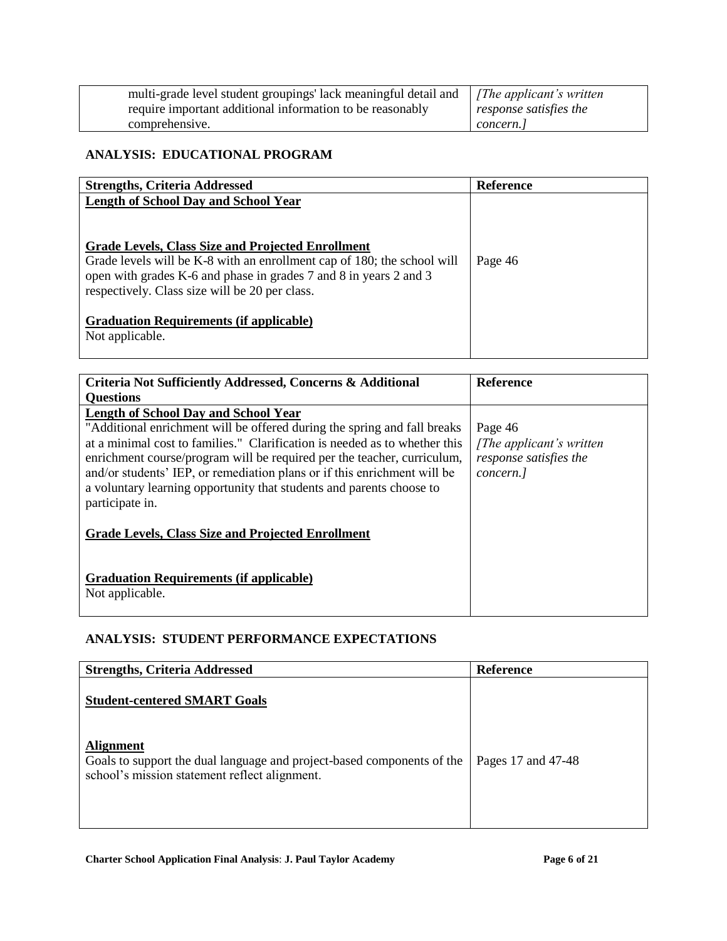| multi-grade level student groupings' lack meaningful detail and   [The applicant's written |                               |
|--------------------------------------------------------------------------------------------|-------------------------------|
| require important additional information to be reasonably                                  | $\mid$ response satisfies the |
| comprehensive.                                                                             | concern. l                    |

# **ANALYSIS: EDUCATIONAL PROGRAM**

| <b>Strengths, Criteria Addressed</b>                                                                                         | <b>Reference</b> |
|------------------------------------------------------------------------------------------------------------------------------|------------------|
| Length of School Day and School Year                                                                                         |                  |
| Grade Levels, Class Size and Projected Enrollment<br>Grade levels will be K-8 with an enrollment cap of 180; the school will | Page 46          |
| open with grades K-6 and phase in grades 7 and 8 in years 2 and 3                                                            |                  |
| respectively. Class size will be 20 per class.                                                                               |                  |
| <b>Graduation Requirements (if applicable)</b>                                                                               |                  |
| Not applicable.                                                                                                              |                  |

| Criteria Not Sufficiently Addressed, Concerns & Additional                                                                                                                                                                                                                                                                                                                                                                                              | <b>Reference</b>                                                            |
|---------------------------------------------------------------------------------------------------------------------------------------------------------------------------------------------------------------------------------------------------------------------------------------------------------------------------------------------------------------------------------------------------------------------------------------------------------|-----------------------------------------------------------------------------|
| <b>Ouestions</b>                                                                                                                                                                                                                                                                                                                                                                                                                                        |                                                                             |
| <b>Length of School Day and School Year</b><br>"Additional enrichment will be offered during the spring and fall breaks<br>at a minimal cost to families." Clarification is needed as to whether this<br>enrichment course/program will be required per the teacher, curriculum,<br>and/or students' IEP, or remediation plans or if this enrichment will be<br>a voluntary learning opportunity that students and parents choose to<br>participate in. | Page 46<br>[The applicant's written]<br>response satisfies the<br>concern.] |
| <b>Grade Levels, Class Size and Projected Enrollment</b><br><b>Graduation Requirements (if applicable)</b><br>Not applicable.                                                                                                                                                                                                                                                                                                                           |                                                                             |

# **ANALYSIS: STUDENT PERFORMANCE EXPECTATIONS**

| <b>Strengths, Criteria Addressed</b>                                                                                                        | Reference          |
|---------------------------------------------------------------------------------------------------------------------------------------------|--------------------|
| <b>Student-centered SMART Goals</b>                                                                                                         |                    |
| <b>Alignment</b><br>Goals to support the dual language and project-based components of the<br>school's mission statement reflect alignment. | Pages 17 and 47-48 |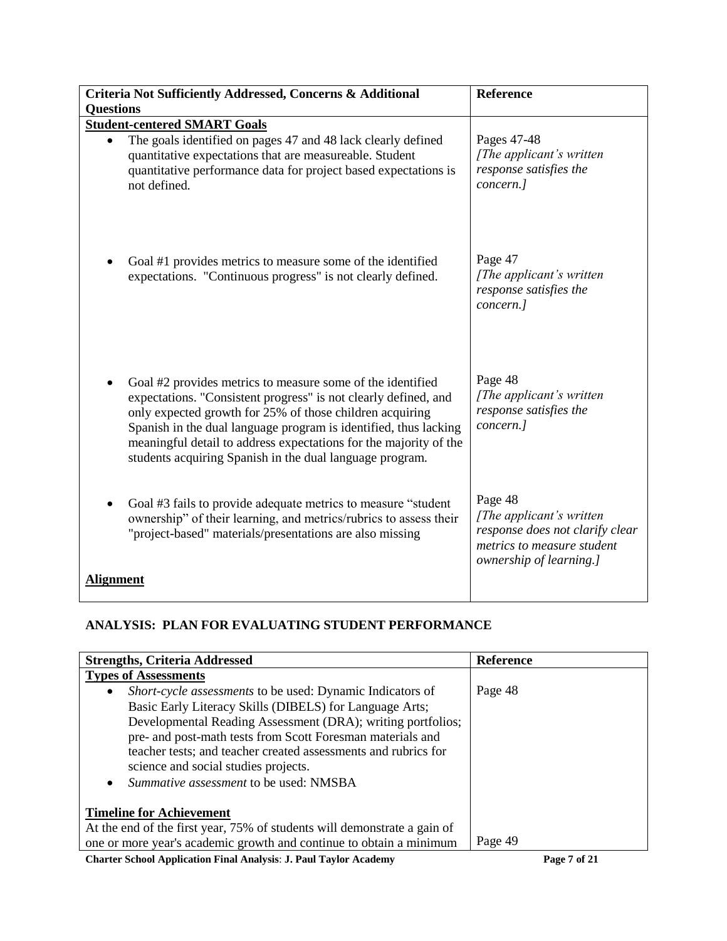| Criteria Not Sufficiently Addressed, Concerns & Additional<br><b>Questions</b>                                                                                                                                                                                                                                                                                                                 | <b>Reference</b>                                                                                                                 |
|------------------------------------------------------------------------------------------------------------------------------------------------------------------------------------------------------------------------------------------------------------------------------------------------------------------------------------------------------------------------------------------------|----------------------------------------------------------------------------------------------------------------------------------|
| <b>Student-centered SMART Goals</b>                                                                                                                                                                                                                                                                                                                                                            |                                                                                                                                  |
| The goals identified on pages 47 and 48 lack clearly defined<br>$\bullet$<br>quantitative expectations that are measureable. Student<br>quantitative performance data for project based expectations is<br>not defined.                                                                                                                                                                        | Pages 47-48<br>[The applicant's written]<br>response satisfies the<br>concern.]                                                  |
| Goal #1 provides metrics to measure some of the identified<br>expectations. "Continuous progress" is not clearly defined.                                                                                                                                                                                                                                                                      | Page 47<br>[The applicant's written]<br>response satisfies the<br>concern.]                                                      |
| Goal #2 provides metrics to measure some of the identified<br>expectations. "Consistent progress" is not clearly defined, and<br>only expected growth for 25% of those children acquiring<br>Spanish in the dual language program is identified, thus lacking<br>meaningful detail to address expectations for the majority of the<br>students acquiring Spanish in the dual language program. | Page 48<br>[The applicant's written]<br>response satisfies the<br>concern.]                                                      |
| Goal #3 fails to provide adequate metrics to measure "student"<br>ownership" of their learning, and metrics/rubrics to assess their<br>"project-based" materials/presentations are also missing                                                                                                                                                                                                | Page 48<br>[The applicant's written]<br>response does not clarify clear<br>metrics to measure student<br>ownership of learning.] |
| <b>Alignment</b>                                                                                                                                                                                                                                                                                                                                                                               |                                                                                                                                  |

# **ANALYSIS: PLAN FOR EVALUATING STUDENT PERFORMANCE**

| <b>Strengths, Criteria Addressed</b>                                                                                                                                                                                                                                                                                                                                                                              | <b>Reference</b> |
|-------------------------------------------------------------------------------------------------------------------------------------------------------------------------------------------------------------------------------------------------------------------------------------------------------------------------------------------------------------------------------------------------------------------|------------------|
| <b>Types of Assessments</b>                                                                                                                                                                                                                                                                                                                                                                                       |                  |
| <i>Short-cycle assessments</i> to be used: Dynamic Indicators of<br>٠<br>Basic Early Literacy Skills (DIBELS) for Language Arts;<br>Developmental Reading Assessment (DRA); writing portfolios;<br>pre- and post-math tests from Scott Foresman materials and<br>teacher tests; and teacher created assessments and rubrics for<br>science and social studies projects.<br>Summative assessment to be used: NMSBA | Page 48          |
| <b>Timeline for Achievement</b><br>At the end of the first year, 75% of students will demonstrate a gain of<br>one or more year's academic growth and continue to obtain a minimum                                                                                                                                                                                                                                | Page 49          |

**Charter School Application Final Analysis**: **J. Paul Taylor Academy Page 7 of 21**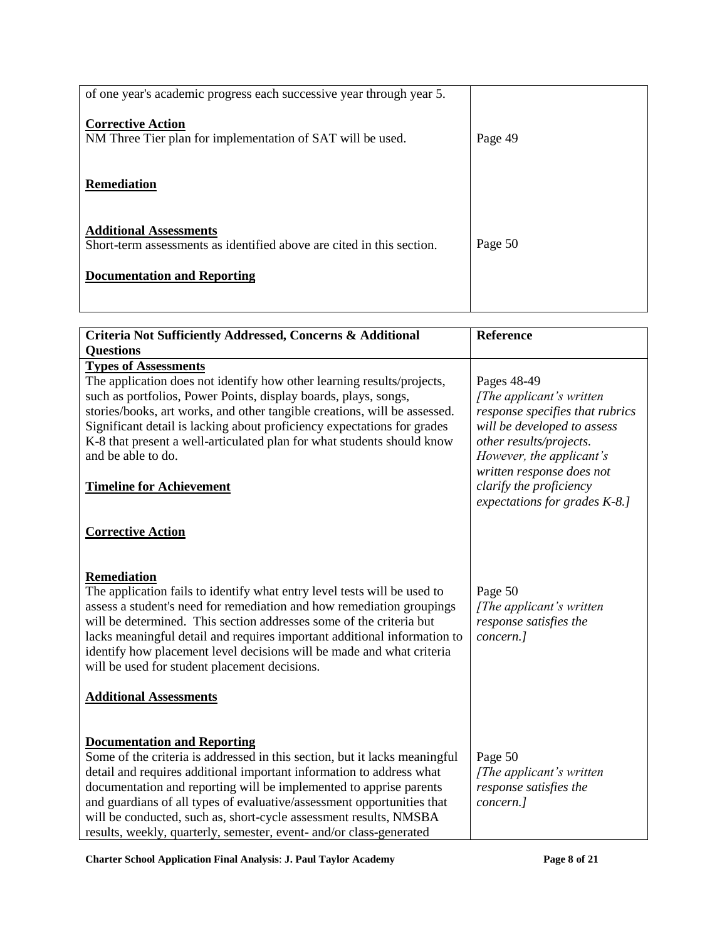| of one year's academic progress each successive year through year 5.                                   |         |
|--------------------------------------------------------------------------------------------------------|---------|
| <b>Corrective Action</b><br>NM Three Tier plan for implementation of SAT will be used.                 | Page 49 |
| <b>Remediation</b>                                                                                     |         |
| <b>Additional Assessments</b><br>Short-term assessments as identified above are cited in this section. | Page 50 |
| <b>Documentation and Reporting</b>                                                                     |         |
|                                                                                                        |         |

| Criteria Not Sufficiently Addressed, Concerns & Additional                                                                                                                                                                                                                                                                                                                                                                                                                            | <b>Reference</b>                                                                                                                                                                                                                                              |
|---------------------------------------------------------------------------------------------------------------------------------------------------------------------------------------------------------------------------------------------------------------------------------------------------------------------------------------------------------------------------------------------------------------------------------------------------------------------------------------|---------------------------------------------------------------------------------------------------------------------------------------------------------------------------------------------------------------------------------------------------------------|
| <b>Questions</b>                                                                                                                                                                                                                                                                                                                                                                                                                                                                      |                                                                                                                                                                                                                                                               |
| <b>Types of Assessments</b><br>The application does not identify how other learning results/projects,<br>such as portfolios, Power Points, display boards, plays, songs,<br>stories/books, art works, and other tangible creations, will be assessed.<br>Significant detail is lacking about proficiency expectations for grades<br>K-8 that present a well-articulated plan for what students should know<br>and be able to do.<br><b>Timeline for Achievement</b>                   | Pages 48-49<br>[The applicant's written]<br>response specifies that rubrics<br>will be developed to assess<br>other results/projects.<br>However, the applicant's<br>written response does not<br>clarify the proficiency<br>expectations for grades $K-8$ .] |
| <b>Corrective Action</b>                                                                                                                                                                                                                                                                                                                                                                                                                                                              |                                                                                                                                                                                                                                                               |
| <b>Remediation</b><br>The application fails to identify what entry level tests will be used to<br>assess a student's need for remediation and how remediation groupings<br>will be determined. This section addresses some of the criteria but<br>lacks meaningful detail and requires important additional information to<br>identify how placement level decisions will be made and what criteria<br>will be used for student placement decisions.<br><b>Additional Assessments</b> | Page 50<br>[The applicant's written]<br>response satisfies the<br>concern.]                                                                                                                                                                                   |
| <b>Documentation and Reporting</b><br>Some of the criteria is addressed in this section, but it lacks meaningful<br>detail and requires additional important information to address what<br>documentation and reporting will be implemented to apprise parents<br>and guardians of all types of evaluative/assessment opportunities that<br>will be conducted, such as, short-cycle assessment results, NMSBA<br>results, weekly, quarterly, semester, event- and/or class-generated  | Page 50<br>[The applicant's written]<br>response satisfies the<br>concern.]                                                                                                                                                                                   |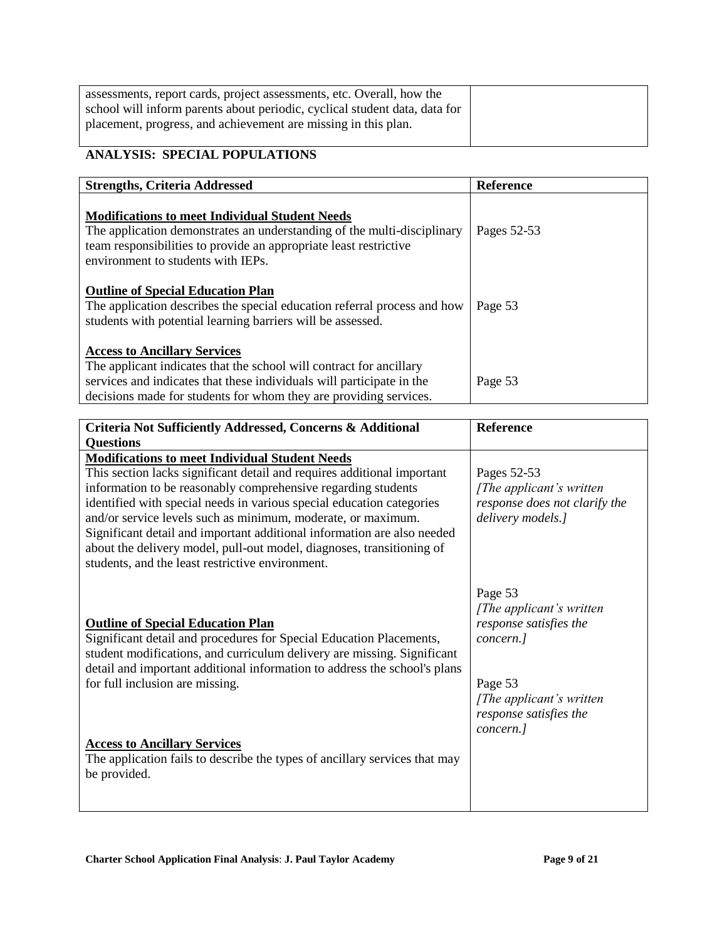| assessments, report cards, project assessments, etc. Overall, how the      |  |
|----------------------------------------------------------------------------|--|
| school will inform parents about periodic, cyclical student data, data for |  |
| placement, progress, and achievement are missing in this plan.             |  |
|                                                                            |  |

# **ANALYSIS: SPECIAL POPULATIONS**

| <b>Strengths, Criteria Addressed</b>                                                                                                                                                                                                                     | <b>Reference</b> |
|----------------------------------------------------------------------------------------------------------------------------------------------------------------------------------------------------------------------------------------------------------|------------------|
| <b>Modifications to meet Individual Student Needs</b><br>The application demonstrates an understanding of the multi-disciplinary<br>team responsibilities to provide an appropriate least restrictive<br>environment to students with IEPs.              | Pages 52-53      |
| <b>Outline of Special Education Plan</b><br>The application describes the special education referral process and how<br>students with potential learning barriers will be assessed.                                                                      | Page 53          |
| <b>Access to Ancillary Services</b><br>The applicant indicates that the school will contract for ancillary<br>services and indicates that these individuals will participate in the<br>decisions made for students for whom they are providing services. | Page 53          |

| Criteria Not Sufficiently Addressed, Concerns & Additional                                                                                                                                                                                                                                                                                                                                                                                                                                | <b>Reference</b>                                                                               |
|-------------------------------------------------------------------------------------------------------------------------------------------------------------------------------------------------------------------------------------------------------------------------------------------------------------------------------------------------------------------------------------------------------------------------------------------------------------------------------------------|------------------------------------------------------------------------------------------------|
| <b>Questions</b>                                                                                                                                                                                                                                                                                                                                                                                                                                                                          |                                                                                                |
| <b>Modifications to meet Individual Student Needs</b>                                                                                                                                                                                                                                                                                                                                                                                                                                     |                                                                                                |
| This section lacks significant detail and requires additional important<br>information to be reasonably comprehensive regarding students<br>identified with special needs in various special education categories<br>and/or service levels such as minimum, moderate, or maximum.<br>Significant detail and important additional information are also needed<br>about the delivery model, pull-out model, diagnoses, transitioning of<br>students, and the least restrictive environment. | Pages 52-53<br>[The applicant's written]<br>response does not clarify the<br>delivery models.] |
| <b>Outline of Special Education Plan</b><br>Significant detail and procedures for Special Education Placements,<br>student modifications, and curriculum delivery are missing. Significant<br>detail and important additional information to address the school's plans<br>for full inclusion are missing.                                                                                                                                                                                | Page 53<br>[The applicant's written]<br>response satisfies the<br>concern.]<br>Page 53         |
|                                                                                                                                                                                                                                                                                                                                                                                                                                                                                           | [The applicant's written]<br>response satisfies the<br>concern.]                               |
| <b>Access to Ancillary Services</b><br>The application fails to describe the types of ancillary services that may<br>be provided.                                                                                                                                                                                                                                                                                                                                                         |                                                                                                |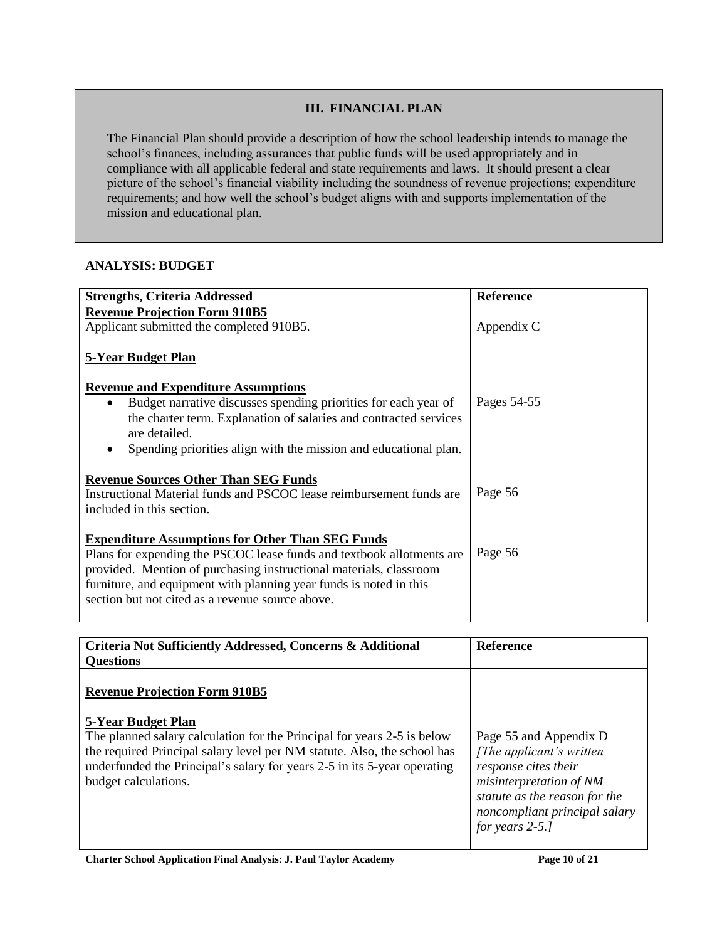## **III. FINANCIAL PLAN**

The Financial Plan should provide a description of how the school leadership intends to manage the school's finances, including assurances that public funds will be used appropriately and in compliance with all applicable federal and state requirements and laws. It should present a clear picture of the school's financial viability including the soundness of revenue projections; expenditure requirements; and how well the school's budget aligns with and supports implementation of the mission and educational plan.

### **ANALYSIS: BUDGET**

| <b>Strengths, Criteria Addressed</b>                                                                                                                                                                                                                                                                                                | <b>Reference</b> |
|-------------------------------------------------------------------------------------------------------------------------------------------------------------------------------------------------------------------------------------------------------------------------------------------------------------------------------------|------------------|
| <b>Revenue Projection Form 910B5</b>                                                                                                                                                                                                                                                                                                |                  |
| Applicant submitted the completed 910B5.                                                                                                                                                                                                                                                                                            | Appendix C       |
| 5-Year Budget Plan                                                                                                                                                                                                                                                                                                                  |                  |
| <b>Revenue and Expenditure Assumptions</b>                                                                                                                                                                                                                                                                                          |                  |
|                                                                                                                                                                                                                                                                                                                                     | Pages 54-55      |
| the charter term. Explanation of salaries and contracted services                                                                                                                                                                                                                                                                   |                  |
| are detailed.                                                                                                                                                                                                                                                                                                                       |                  |
|                                                                                                                                                                                                                                                                                                                                     |                  |
| <b>Revenue Sources Other Than SEG Funds</b><br>Instructional Material funds and PSCOC lease reimbursement funds are<br>included in this section.                                                                                                                                                                                    | Page 56          |
| <b>Expenditure Assumptions for Other Than SEG Funds</b>                                                                                                                                                                                                                                                                             |                  |
| Plans for expending the PSCOC lease funds and textbook allotments are                                                                                                                                                                                                                                                               | Page 56          |
|                                                                                                                                                                                                                                                                                                                                     |                  |
|                                                                                                                                                                                                                                                                                                                                     |                  |
|                                                                                                                                                                                                                                                                                                                                     |                  |
| Budget narrative discusses spending priorities for each year of<br>Spending priorities align with the mission and educational plan.<br>provided. Mention of purchasing instructional materials, classroom<br>furniture, and equipment with planning year funds is noted in this<br>section but not cited as a revenue source above. |                  |

| Criteria Not Sufficiently Addressed, Concerns & Additional<br><b>Questions</b>                                                                                                                                                                          | <b>Reference</b>                                                                                                                                                                            |
|---------------------------------------------------------------------------------------------------------------------------------------------------------------------------------------------------------------------------------------------------------|---------------------------------------------------------------------------------------------------------------------------------------------------------------------------------------------|
| <b>Revenue Projection Form 910B5</b><br>5-Year Budget Plan                                                                                                                                                                                              |                                                                                                                                                                                             |
| The planned salary calculation for the Principal for years 2-5 is below<br>the required Principal salary level per NM statute. Also, the school has<br>underfunded the Principal's salary for years 2-5 in its 5-year operating<br>budget calculations. | Page 55 and Appendix D<br>[The applicant's written]<br>response cites their<br>misinterpretation of NM<br>statute as the reason for the<br>noncompliant principal salary<br>for years 2-5.1 |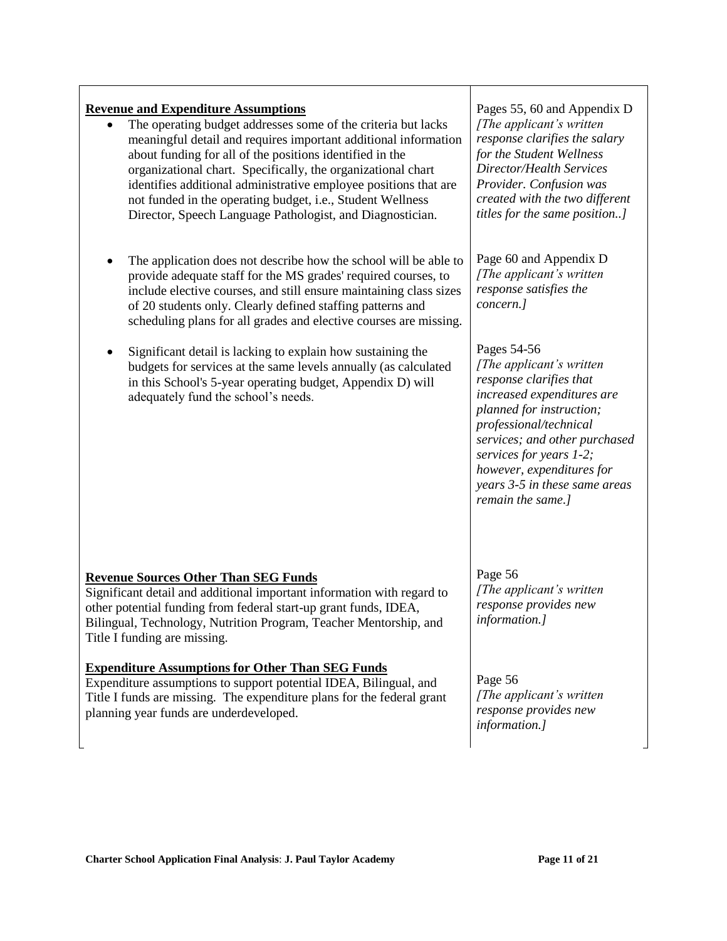### **Revenue and Expenditure Assumptions**

- The operating budget addresses some of the criteria but lacks meaningful detail and requires important additional information about funding for all of the positions identified in the organizational chart. Specifically, the organizational chart identifies additional administrative employee positions that are not funded in the operating budget, i.e., Student Wellness Director, Speech Language Pathologist, and Diagnostician.
- The application does not describe how the school will be able to provide adequate staff for the MS grades' required courses, to include elective courses, and still ensure maintaining class sizes of 20 students only. Clearly defined staffing patterns and scheduling plans for all grades and elective courses are missing.
- Significant detail is lacking to explain how sustaining the budgets for services at the same levels annually (as calculated in this School's 5-year operating budget, Appendix D) will adequately fund the school's needs.

### **Revenue Sources Other Than SEG Funds**

Significant detail and additional important information with regard to other potential funding from federal start-up grant funds, IDEA, Bilingual, Technology, Nutrition Program, Teacher Mentorship, and Title I funding are missing.

### **Expenditure Assumptions for Other Than SEG Funds**

Expenditure assumptions to support potential IDEA, Bilingual, and Title I funds are missing. The expenditure plans for the federal grant planning year funds are underdeveloped.

Pages 55, 60 and Appendix D *[The applicant's written response clarifies the salary for the Student Wellness Director/Health Services Provider. Confusion was created with the two different titles for the same position..]*

Page 60 and Appendix D *[The applicant's written response satisfies the concern.]*

# Pages 54-56

*[The applicant's written response clarifies that increased expenditures are planned for instruction; professional/technical services; and other purchased services for years 1-2; however, expenditures for years 3-5 in these same areas remain the same.]*

# Page 56

*[The applicant's written response provides new information.]*

#### Page 56

*[The applicant's written response provides new information.]*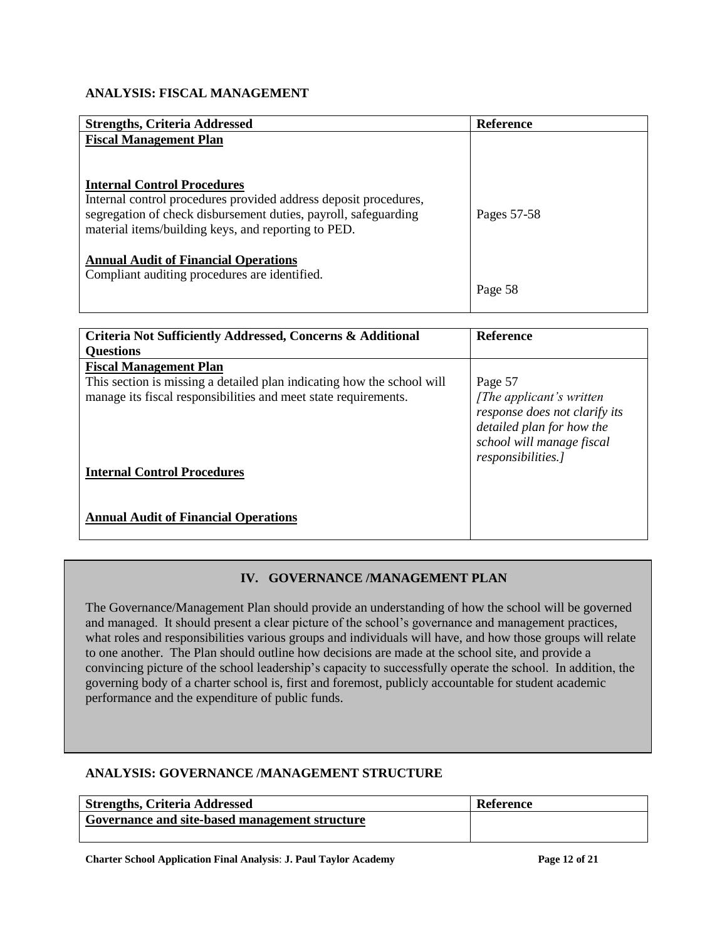## **ANALYSIS: FISCAL MANAGEMENT**

| <b>Strengths, Criteria Addressed</b>                                                                                   | Reference   |
|------------------------------------------------------------------------------------------------------------------------|-------------|
| <b>Fiscal Management Plan</b>                                                                                          |             |
|                                                                                                                        |             |
|                                                                                                                        |             |
| <b>Internal Control Procedures</b>                                                                                     |             |
| Internal control procedures provided address deposit procedures,                                                       |             |
| segregation of check disbursement duties, payroll, safeguarding<br>material items/building keys, and reporting to PED. | Pages 57-58 |
|                                                                                                                        |             |
| <b>Annual Audit of Financial Operations</b>                                                                            |             |
| Compliant auditing procedures are identified.                                                                          |             |
|                                                                                                                        | Page 58     |
|                                                                                                                        |             |

| Criteria Not Sufficiently Addressed, Concerns & Additional             | <b>Reference</b>                                                                                                                           |
|------------------------------------------------------------------------|--------------------------------------------------------------------------------------------------------------------------------------------|
| <b>Ouestions</b>                                                       |                                                                                                                                            |
| <b>Fiscal Management Plan</b>                                          |                                                                                                                                            |
| This section is missing a detailed plan indicating how the school will | Page 57                                                                                                                                    |
| manage its fiscal responsibilities and meet state requirements.        | [The applicant's written]<br>response does not clarify its<br>detailed plan for how the<br>school will manage fiscal<br>responsibilities.] |
| <b>Internal Control Procedures</b>                                     |                                                                                                                                            |
| <b>Annual Audit of Financial Operations</b>                            |                                                                                                                                            |

# **IV. GOVERNANCE /MANAGEMENT PLAN**

The Governance/Management Plan should provide an understanding of how the school will be governed and managed. It should present a clear picture of the school's governance and management practices, what roles and responsibilities various groups and individuals will have, and how those groups will relate to one another. The Plan should outline how decisions are made at the school site, and provide a convincing picture of the school leadership's capacity to successfully operate the school. In addition, the governing body of a charter school is, first and foremost, publicly accountable for student academic performance and the expenditure of public funds.

## **ANALYSIS: GOVERNANCE /MANAGEMENT STRUCTURE**

| <b>Strengths, Criteria Addressed</b>           | Reference |
|------------------------------------------------|-----------|
| Governance and site-based management structure |           |
|                                                |           |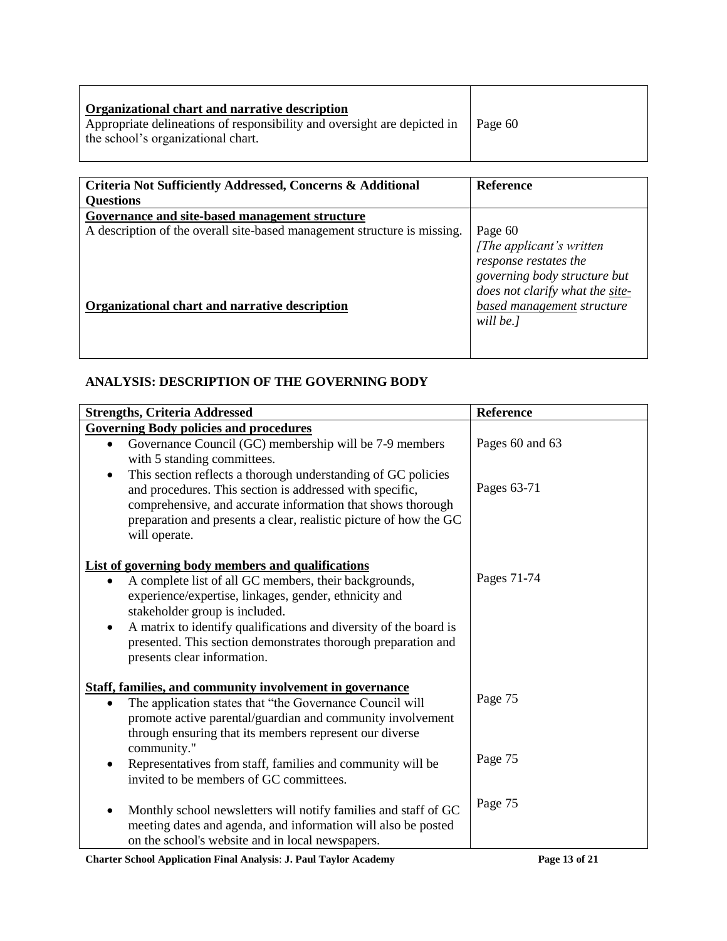| Criteria Not Sufficiently Addressed, Concerns & Additional<br><b>Questions</b> | <b>Reference</b>                                                                                                                 |
|--------------------------------------------------------------------------------|----------------------------------------------------------------------------------------------------------------------------------|
| Governance and site-based management structure                                 |                                                                                                                                  |
| A description of the overall site-based management structure is missing.       | Page 60<br>[The applicant's written]<br>response restates the<br>governing body structure but<br>does not clarify what the site- |
| Organizational chart and narrative description                                 | based management structure<br>will be.]                                                                                          |

# **ANALYSIS: DESCRIPTION OF THE GOVERNING BODY**

| <b>Strengths, Criteria Addressed</b>                                                                                                                                                                                                                                                        | Reference       |
|---------------------------------------------------------------------------------------------------------------------------------------------------------------------------------------------------------------------------------------------------------------------------------------------|-----------------|
| <b>Governing Body policies and procedures</b>                                                                                                                                                                                                                                               |                 |
| Governance Council (GC) membership will be 7-9 members<br>with 5 standing committees.                                                                                                                                                                                                       | Pages 60 and 63 |
| This section reflects a thorough understanding of GC policies<br>$\bullet$<br>and procedures. This section is addressed with specific,<br>comprehensive, and accurate information that shows thorough<br>preparation and presents a clear, realistic picture of how the GC<br>will operate. | Pages 63-71     |
| <b>List of governing body members and qualifications</b>                                                                                                                                                                                                                                    |                 |
| A complete list of all GC members, their backgrounds,<br>experience/expertise, linkages, gender, ethnicity and<br>stakeholder group is included.                                                                                                                                            | Pages 71-74     |
| A matrix to identify qualifications and diversity of the board is<br>٠<br>presented. This section demonstrates thorough preparation and<br>presents clear information.                                                                                                                      |                 |
| <b>Staff, families, and community involvement in governance</b><br>The application states that "the Governance Council will<br>$\bullet$<br>promote active parental/guardian and community involvement<br>through ensuring that its members represent our diverse                           | Page 75         |
| community."<br>Representatives from staff, families and community will be<br>٠<br>invited to be members of GC committees.                                                                                                                                                                   | Page 75         |
| Monthly school newsletters will notify families and staff of GC<br>$\bullet$<br>meeting dates and agenda, and information will also be posted<br>on the school's website and in local newspapers.                                                                                           | Page 75         |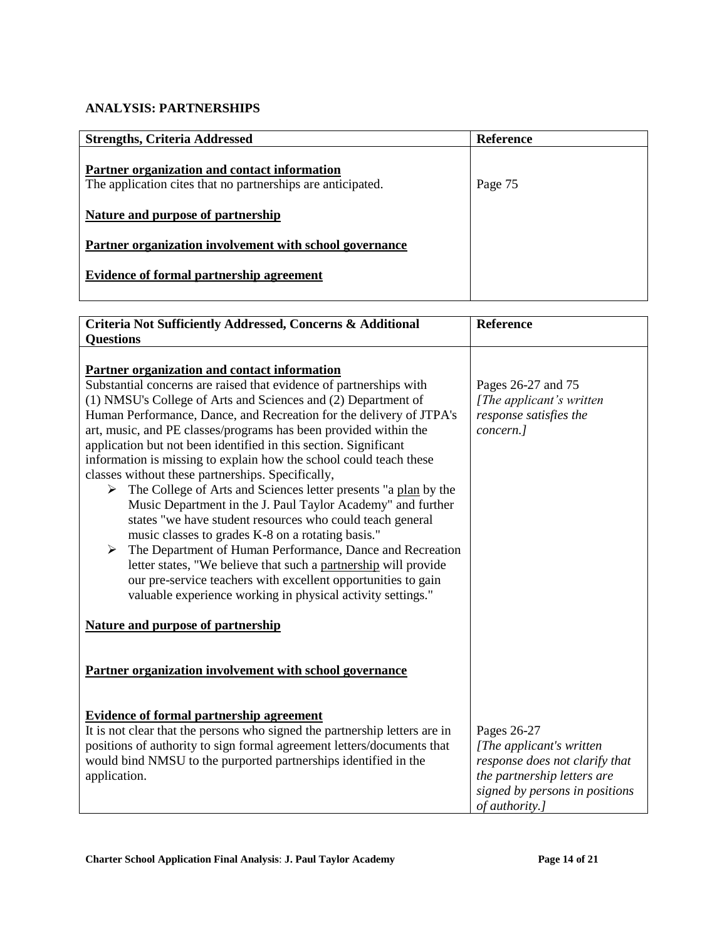# **ANALYSIS: PARTNERSHIPS**

| <b>Strengths, Criteria Addressed</b>                                                                        | Reference |
|-------------------------------------------------------------------------------------------------------------|-----------|
| Partner organization and contact information<br>The application cites that no partnerships are anticipated. | Page 75   |
| Nature and purpose of partnership                                                                           |           |
| Partner organization involvement with school governance                                                     |           |
| Evidence of formal partnership agreement                                                                    |           |

| Criteria Not Sufficiently Addressed, Concerns & Additional<br><b>Questions</b>                                                                                                                                                                                                                                                                                                                                                                                                                                                                                                                                                                                                                                                                                                                                                                                                                                                                                                                                                                              | Reference                                                                                                                                                    |
|-------------------------------------------------------------------------------------------------------------------------------------------------------------------------------------------------------------------------------------------------------------------------------------------------------------------------------------------------------------------------------------------------------------------------------------------------------------------------------------------------------------------------------------------------------------------------------------------------------------------------------------------------------------------------------------------------------------------------------------------------------------------------------------------------------------------------------------------------------------------------------------------------------------------------------------------------------------------------------------------------------------------------------------------------------------|--------------------------------------------------------------------------------------------------------------------------------------------------------------|
| Partner organization and contact information<br>Substantial concerns are raised that evidence of partnerships with<br>(1) NMSU's College of Arts and Sciences and (2) Department of<br>Human Performance, Dance, and Recreation for the delivery of JTPA's<br>art, music, and PE classes/programs has been provided within the<br>application but not been identified in this section. Significant<br>information is missing to explain how the school could teach these<br>classes without these partnerships. Specifically,<br>The College of Arts and Sciences letter presents "a plan by the<br>➤<br>Music Department in the J. Paul Taylor Academy" and further<br>states "we have student resources who could teach general<br>music classes to grades K-8 on a rotating basis."<br>The Department of Human Performance, Dance and Recreation<br>➤<br>letter states, "We believe that such a partnership will provide<br>our pre-service teachers with excellent opportunities to gain<br>valuable experience working in physical activity settings." | Pages 26-27 and 75<br>[The applicant's written]<br>response satisfies the<br>concern.]                                                                       |
| <b>Nature and purpose of partnership</b>                                                                                                                                                                                                                                                                                                                                                                                                                                                                                                                                                                                                                                                                                                                                                                                                                                                                                                                                                                                                                    |                                                                                                                                                              |
| Partner organization involvement with school governance                                                                                                                                                                                                                                                                                                                                                                                                                                                                                                                                                                                                                                                                                                                                                                                                                                                                                                                                                                                                     |                                                                                                                                                              |
| <b>Evidence of formal partnership agreement</b><br>It is not clear that the persons who signed the partnership letters are in<br>positions of authority to sign formal agreement letters/documents that<br>would bind NMSU to the purported partnerships identified in the<br>application.                                                                                                                                                                                                                                                                                                                                                                                                                                                                                                                                                                                                                                                                                                                                                                  | Pages 26-27<br>[The applicant's written<br>response does not clarify that<br>the partnership letters are<br>signed by persons in positions<br>of authority.] |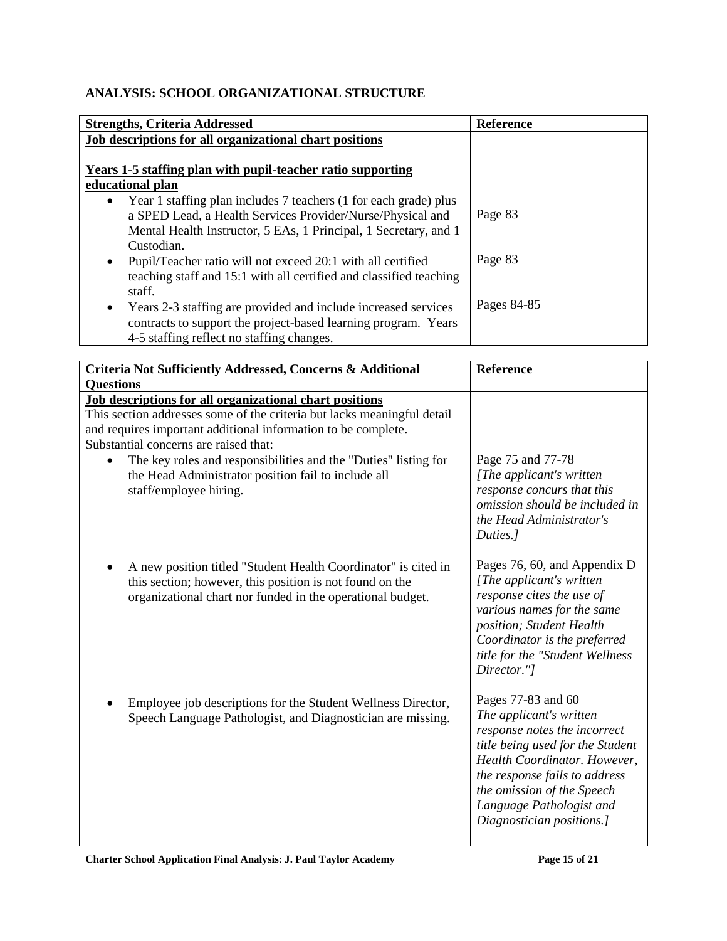# **ANALYSIS: SCHOOL ORGANIZATIONAL STRUCTURE**

| <b>Strengths, Criteria Addressed</b>                                          | Reference   |
|-------------------------------------------------------------------------------|-------------|
| Job descriptions for all organizational chart positions                       |             |
|                                                                               |             |
| Years 1-5 staffing plan with pupil-teacher ratio supporting                   |             |
| educational plan                                                              |             |
| Year 1 staffing plan includes 7 teachers (1 for each grade) plus<br>$\bullet$ |             |
| a SPED Lead, a Health Services Provider/Nurse/Physical and                    | Page 83     |
| Mental Health Instructor, 5 EAs, 1 Principal, 1 Secretary, and 1              |             |
| Custodian.                                                                    |             |
| Pupil/Teacher ratio will not exceed 20:1 with all certified<br>$\bullet$      | Page 83     |
| teaching staff and 15:1 with all certified and classified teaching            |             |
| staff.                                                                        |             |
| Years 2-3 staffing are provided and include increased services<br>٠           | Pages 84-85 |
| contracts to support the project-based learning program. Years                |             |
| 4-5 staffing reflect no staffing changes.                                     |             |

| Criteria Not Sufficiently Addressed, Concerns & Additional<br><b>Ouestions</b>                                                                                                                         | Reference                                                                                                                                                                                                                                                                 |
|--------------------------------------------------------------------------------------------------------------------------------------------------------------------------------------------------------|---------------------------------------------------------------------------------------------------------------------------------------------------------------------------------------------------------------------------------------------------------------------------|
| Job descriptions for all organizational chart positions<br>This section addresses some of the criteria but lacks meaningful detail<br>and requires important additional information to be complete.    |                                                                                                                                                                                                                                                                           |
| Substantial concerns are raised that:<br>The key roles and responsibilities and the "Duties" listing for<br>$\bullet$<br>the Head Administrator position fail to include all<br>staff/employee hiring. | Page 75 and 77-78<br>[The applicant's written<br>response concurs that this<br>omission should be included in<br>the Head Administrator's<br>Duties.]                                                                                                                     |
| A new position titled "Student Health Coordinator" is cited in<br>this section; however, this position is not found on the<br>organizational chart nor funded in the operational budget.               | Pages 76, 60, and Appendix D<br>[The applicant's written]<br>response cites the use of<br>various names for the same<br>position; Student Health<br>Coordinator is the preferred<br>title for the "Student Wellness<br>Director."]                                        |
| Employee job descriptions for the Student Wellness Director,<br>Speech Language Pathologist, and Diagnostician are missing.                                                                            | Pages 77-83 and 60<br>The applicant's written<br>response notes the incorrect<br>title being used for the Student<br>Health Coordinator. However,<br>the response fails to address<br>the omission of the Speech<br>Language Pathologist and<br>Diagnostician positions.] |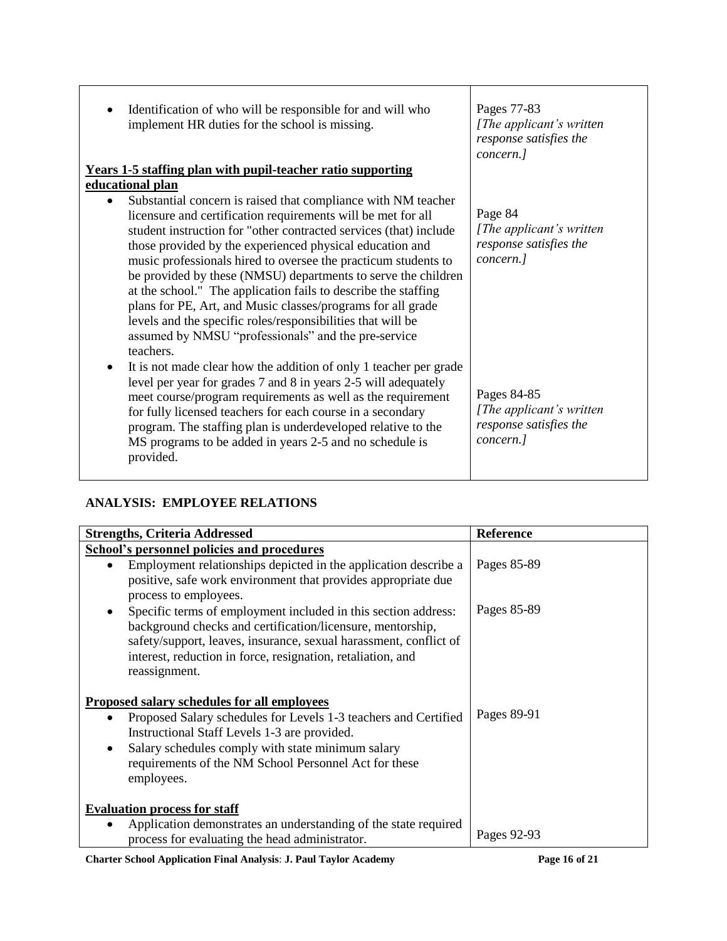| Identification of who will be responsible for and will who<br>implement HR duties for the school is missing.                                                                                                                                                                                                                                                                                                                                                                                                                                                                                                                                                          | Pages 77-83<br>[The applicant's written]<br>response satisfies the<br>concern.] |
|-----------------------------------------------------------------------------------------------------------------------------------------------------------------------------------------------------------------------------------------------------------------------------------------------------------------------------------------------------------------------------------------------------------------------------------------------------------------------------------------------------------------------------------------------------------------------------------------------------------------------------------------------------------------------|---------------------------------------------------------------------------------|
| <b>Years 1-5 staffing plan with pupil-teacher ratio supporting</b>                                                                                                                                                                                                                                                                                                                                                                                                                                                                                                                                                                                                    |                                                                                 |
| educational plan                                                                                                                                                                                                                                                                                                                                                                                                                                                                                                                                                                                                                                                      |                                                                                 |
| Substantial concern is raised that compliance with NM teacher<br>licensure and certification requirements will be met for all<br>student instruction for "other contracted services (that) include<br>those provided by the experienced physical education and<br>music professionals hired to oversee the practicum students to<br>be provided by these (NMSU) departments to serve the children<br>at the school." The application fails to describe the staffing<br>plans for PE, Art, and Music classes/programs for all grade<br>levels and the specific roles/responsibilities that will be<br>assumed by NMSU "professionals" and the pre-service<br>teachers. | Page 84<br>[The applicant's written]<br>response satisfies the<br>concern.]     |
| It is not made clear how the addition of only 1 teacher per grade<br>$\bullet$<br>level per year for grades 7 and 8 in years 2-5 will adequately<br>meet course/program requirements as well as the requirement<br>for fully licensed teachers for each course in a secondary<br>program. The staffing plan is underdeveloped relative to the<br>MS programs to be added in years 2-5 and no schedule is<br>provided.                                                                                                                                                                                                                                                 | Pages 84-85<br>[The applicant's written]<br>response satisfies the<br>concern.] |

# **ANALYSIS: EMPLOYEE RELATIONS**

| <b>Strengths, Criteria Addressed</b>                                                                                                                                                                                                                                              | <b>Reference</b> |
|-----------------------------------------------------------------------------------------------------------------------------------------------------------------------------------------------------------------------------------------------------------------------------------|------------------|
| <b>School's personnel policies and procedures</b>                                                                                                                                                                                                                                 |                  |
| Employment relationships depicted in the application describe a<br>positive, safe work environment that provides appropriate due<br>process to employees.                                                                                                                         | Pages 85-89      |
| Specific terms of employment included in this section address:<br>background checks and certification/licensure, mentorship,<br>safety/support, leaves, insurance, sexual harassment, conflict of<br>interest, reduction in force, resignation, retaliation, and<br>reassignment. | Pages 85-89      |
| Proposed salary schedules for all employees                                                                                                                                                                                                                                       |                  |
| Proposed Salary schedules for Levels 1-3 teachers and Certified<br>Instructional Staff Levels 1-3 are provided.<br>Salary schedules comply with state minimum salary<br>٠<br>requirements of the NM School Personnel Act for these<br>employees.                                  | Pages 89-91      |
| <b>Evaluation process for staff</b>                                                                                                                                                                                                                                               |                  |
| Application demonstrates an understanding of the state required<br>process for evaluating the head administrator.                                                                                                                                                                 | Pages 92-93      |

**Charter School Application Final Analysis**: **J. Paul Taylor Academy Page 16 of 21**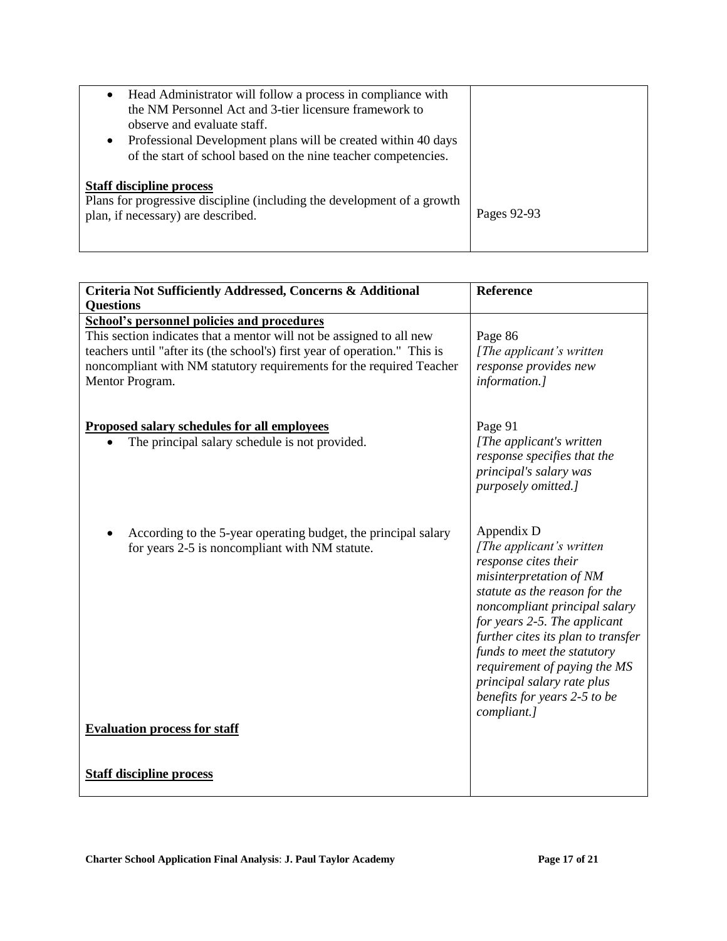| Head Administrator will follow a process in compliance with<br>$\bullet$<br>the NM Personnel Act and 3-tier licensure framework to<br>observe and evaluate staff.<br>Professional Development plans will be created within 40 days<br>$\bullet$<br>of the start of school based on the nine teacher competencies. |             |
|-------------------------------------------------------------------------------------------------------------------------------------------------------------------------------------------------------------------------------------------------------------------------------------------------------------------|-------------|
| <b>Staff discipline process</b><br>Plans for progressive discipline (including the development of a growth<br>plan, if necessary) are described.                                                                                                                                                                  | Pages 92-93 |

| Criteria Not Sufficiently Addressed, Concerns & Additional<br><b>Questions</b>                                                                                                                                                                | Reference                                                                                                                                                                                                                                                                                                                                                                      |
|-----------------------------------------------------------------------------------------------------------------------------------------------------------------------------------------------------------------------------------------------|--------------------------------------------------------------------------------------------------------------------------------------------------------------------------------------------------------------------------------------------------------------------------------------------------------------------------------------------------------------------------------|
| <b>School's personnel policies and procedures</b>                                                                                                                                                                                             |                                                                                                                                                                                                                                                                                                                                                                                |
| This section indicates that a mentor will not be assigned to all new<br>teachers until "after its (the school's) first year of operation." This is<br>noncompliant with NM statutory requirements for the required Teacher<br>Mentor Program. | Page 86<br>[The applicant's written]<br>response provides new<br>information.]                                                                                                                                                                                                                                                                                                 |
| <b>Proposed salary schedules for all employees</b><br>The principal salary schedule is not provided.                                                                                                                                          | Page 91<br>[The applicant's written]<br>response specifies that the<br>principal's salary was<br>purposely omitted.]                                                                                                                                                                                                                                                           |
| According to the 5-year operating budget, the principal salary<br>for years 2-5 is noncompliant with NM statute.                                                                                                                              | Appendix D<br>[The applicant's written]<br>response cites their<br>misinterpretation of NM<br>statute as the reason for the<br>noncompliant principal salary<br>for years 2-5. The applicant<br>further cites its plan to transfer<br>funds to meet the statutory<br>requirement of paying the MS<br>principal salary rate plus<br>benefits for years 2-5 to be<br>compliant.] |
| <b>Evaluation process for staff</b>                                                                                                                                                                                                           |                                                                                                                                                                                                                                                                                                                                                                                |
| <b>Staff discipline process</b>                                                                                                                                                                                                               |                                                                                                                                                                                                                                                                                                                                                                                |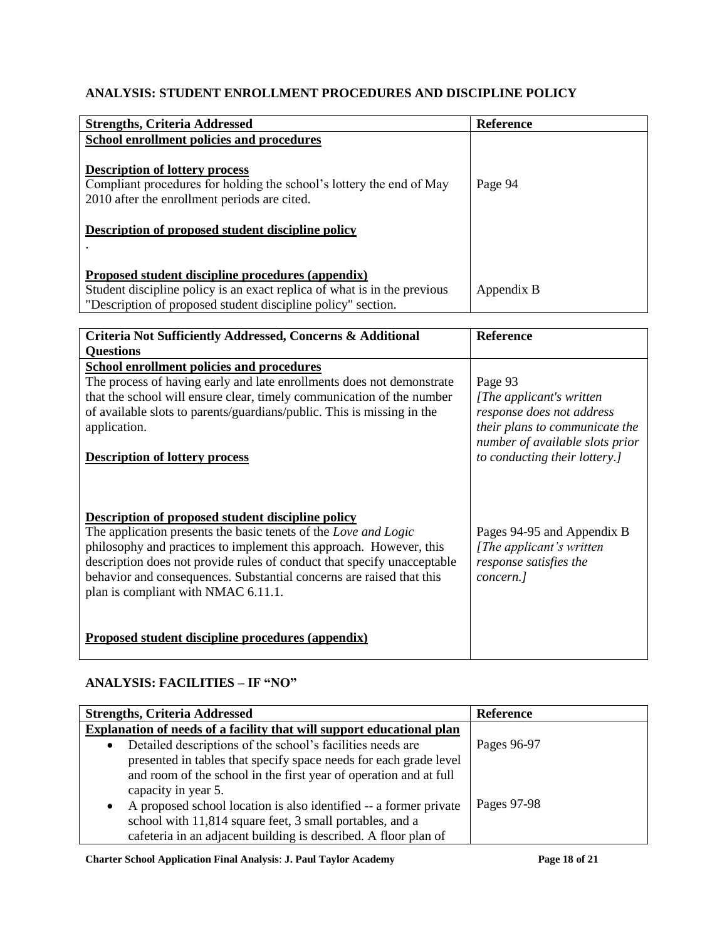# **ANALYSIS: STUDENT ENROLLMENT PROCEDURES AND DISCIPLINE POLICY**

| <b>Strengths, Criteria Addressed</b>                                                                                                                                                                               | Reference  |
|--------------------------------------------------------------------------------------------------------------------------------------------------------------------------------------------------------------------|------------|
| School enrollment policies and procedures                                                                                                                                                                          |            |
| <b>Description of lottery process</b><br>Compliant procedures for holding the school's lottery the end of May<br>2010 after the enrollment periods are cited.<br>Description of proposed student discipline policy | Page 94    |
| Proposed student discipline procedures (appendix)                                                                                                                                                                  |            |
| Student discipline policy is an exact replica of what is in the previous                                                                                                                                           | Appendix B |
| "Description of proposed student discipline policy" section.                                                                                                                                                       |            |

| Criteria Not Sufficiently Addressed, Concerns & Additional              | <b>Reference</b>                |
|-------------------------------------------------------------------------|---------------------------------|
| <b>Questions</b>                                                        |                                 |
| <b>School enrollment policies and procedures</b>                        |                                 |
| The process of having early and late enrollments does not demonstrate   | Page 93                         |
| that the school will ensure clear, timely communication of the number   | [The applicant's written]       |
| of available slots to parents/guardians/public. This is missing in the  | response does not address       |
| application.                                                            | their plans to communicate the  |
|                                                                         | number of available slots prior |
| <b>Description of lottery process</b>                                   | to conducting their lottery.    |
|                                                                         |                                 |
|                                                                         |                                 |
| Description of proposed student discipline policy                       |                                 |
| The application presents the basic tenets of the Love and Logic         | Pages 94-95 and Appendix B      |
| philosophy and practices to implement this approach. However, this      | [The applicant's written]       |
| description does not provide rules of conduct that specify unacceptable | response satisfies the          |
| behavior and consequences. Substantial concerns are raised that this    | concern.]                       |
| plan is compliant with NMAC 6.11.1.                                     |                                 |
|                                                                         |                                 |
|                                                                         |                                 |
| <b>Proposed student discipline procedures (appendix)</b>                |                                 |
|                                                                         |                                 |

# **ANALYSIS: FACILITIES – IF "NO"**

| <b>Strengths, Criteria Addressed</b>                                                                                                                                                                                                     | <b>Reference</b> |
|------------------------------------------------------------------------------------------------------------------------------------------------------------------------------------------------------------------------------------------|------------------|
| Explanation of needs of a facility that will support educational plan                                                                                                                                                                    |                  |
| Detailed descriptions of the school's facilities needs are<br>$\bullet$<br>presented in tables that specify space needs for each grade level<br>and room of the school in the first year of operation and at full<br>capacity in year 5. | Pages 96-97      |
| A proposed school location is also identified -- a former private<br>$\bullet$<br>school with 11,814 square feet, 3 small portables, and a<br>cafeteria in an adjacent building is described. A floor plan of                            | Pages 97-98      |

**Charter School Application Final Analysis**: **J. Paul Taylor Academy Page 18 of 21**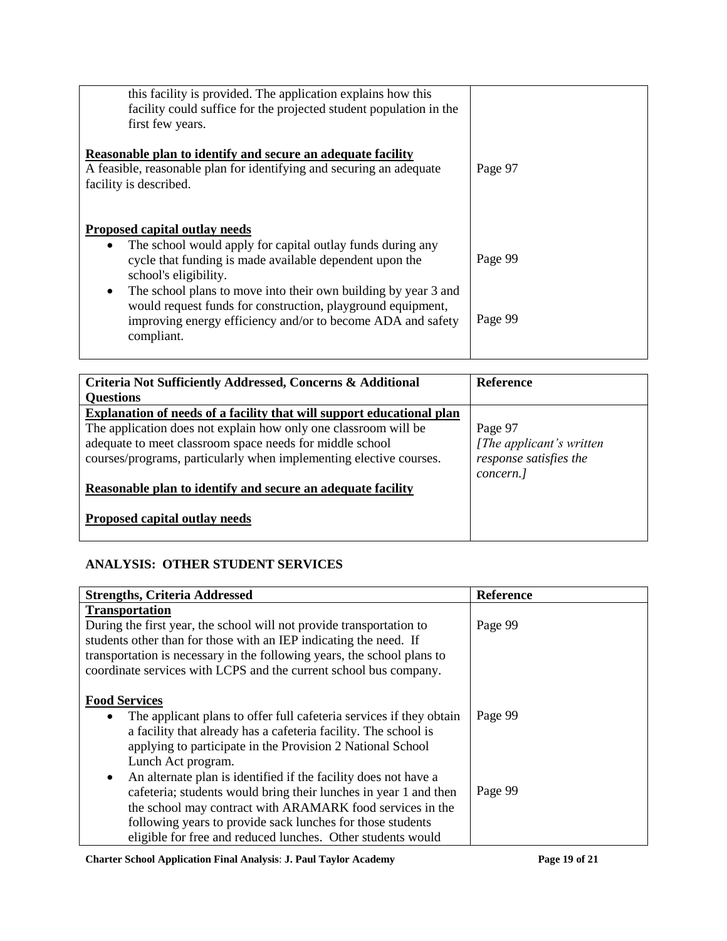| this facility is provided. The application explains how this<br>facility could suffice for the projected student population in the<br>first few years.                                                                                                                                                                                                                                                                         |                    |
|--------------------------------------------------------------------------------------------------------------------------------------------------------------------------------------------------------------------------------------------------------------------------------------------------------------------------------------------------------------------------------------------------------------------------------|--------------------|
| Reasonable plan to identify and secure an adequate facility<br>A feasible, reasonable plan for identifying and securing an adequate<br>facility is described.                                                                                                                                                                                                                                                                  | Page 97            |
| <b>Proposed capital outlay needs</b><br>The school would apply for capital outlay funds during any<br>$\bullet$<br>cycle that funding is made available dependent upon the<br>school's eligibility.<br>The school plans to move into their own building by year 3 and<br>$\bullet$<br>would request funds for construction, playground equipment,<br>improving energy efficiency and/or to become ADA and safety<br>compliant. | Page 99<br>Page 99 |

| Criteria Not Sufficiently Addressed, Concerns & Additional            | <b>Reference</b>          |
|-----------------------------------------------------------------------|---------------------------|
| <b>Questions</b>                                                      |                           |
| Explanation of needs of a facility that will support educational plan |                           |
| The application does not explain how only one classroom will be       | Page 97                   |
| adequate to meet classroom space needs for middle school              | [The applicant's written] |
| courses/programs, particularly when implementing elective courses.    | response satisfies the    |
|                                                                       | concern.]                 |
| Reasonable plan to identify and secure an adequate facility           |                           |
| <b>Proposed capital outlay needs</b>                                  |                           |

# **ANALYSIS: OTHER STUDENT SERVICES**

| <b>Strengths, Criteria Addressed</b>                                                                                                                                                                                                                                                                                    | <b>Reference</b> |
|-------------------------------------------------------------------------------------------------------------------------------------------------------------------------------------------------------------------------------------------------------------------------------------------------------------------------|------------------|
| <b>Transportation</b>                                                                                                                                                                                                                                                                                                   |                  |
| During the first year, the school will not provide transportation to<br>students other than for those with an IEP indicating the need. If<br>transportation is necessary in the following years, the school plans to<br>coordinate services with LCPS and the current school bus company.                               | Page 99          |
| <b>Food Services</b>                                                                                                                                                                                                                                                                                                    |                  |
| The applicant plans to offer full cafeteria services if they obtain<br>$\bullet$<br>a facility that already has a cafeteria facility. The school is<br>applying to participate in the Provision 2 National School<br>Lunch Act program.<br>An alternate plan is identified if the facility does not have a<br>$\bullet$ | Page 99          |
| cafeteria; students would bring their lunches in year 1 and then<br>the school may contract with ARAMARK food services in the<br>following years to provide sack lunches for those students<br>eligible for free and reduced lunches. Other students would                                                              | Page 99          |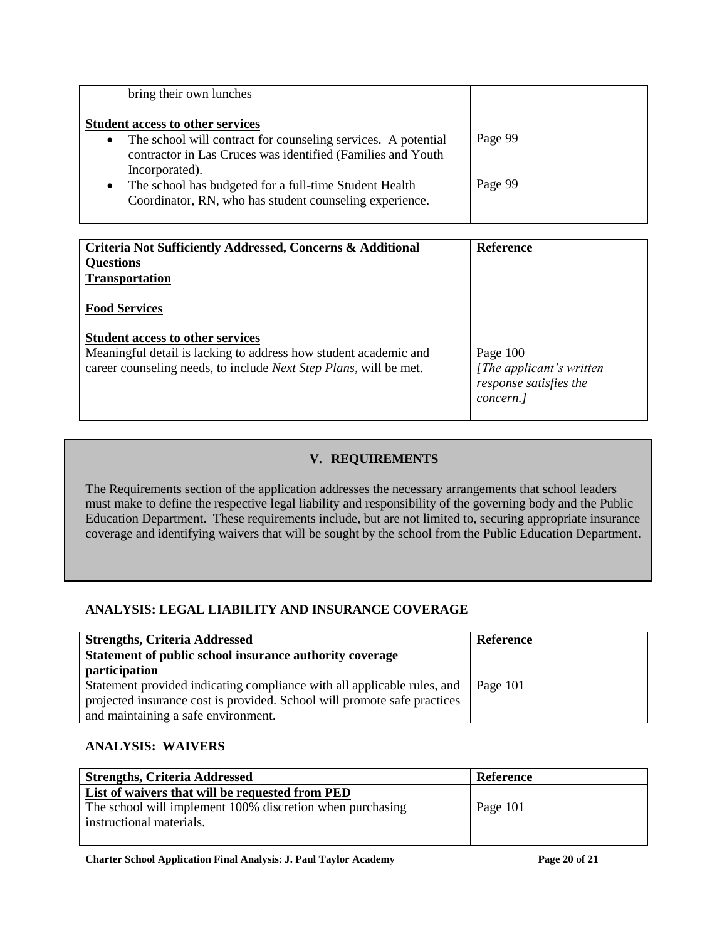| bring their own lunches                                                                                                                                                                                                                                                                                                                  |                    |
|------------------------------------------------------------------------------------------------------------------------------------------------------------------------------------------------------------------------------------------------------------------------------------------------------------------------------------------|--------------------|
| <b>Student access to other services</b><br>The school will contract for counseling services. A potential<br>$\bullet$<br>contractor in Las Cruces was identified (Families and Youth<br>Incorporated).<br>The school has budgeted for a full-time Student Health<br>$\bullet$<br>Coordinator, RN, who has student counseling experience. | Page 99<br>Page 99 |

| Criteria Not Sufficiently Addressed, Concerns & Additional<br><b>Questions</b>                                                                | <b>Reference</b>                                                               |
|-----------------------------------------------------------------------------------------------------------------------------------------------|--------------------------------------------------------------------------------|
| <b>Transportation</b>                                                                                                                         |                                                                                |
| <b>Food Services</b>                                                                                                                          |                                                                                |
| <b>Student access to other services</b>                                                                                                       |                                                                                |
| Meaningful detail is lacking to address how student academic and<br>career counseling needs, to include <i>Next Step Plans</i> , will be met. | Page $100$<br>[The applicant's written]<br>response satisfies the<br>concern.] |

# **V. REQUIREMENTS**

The Requirements section of the application addresses the necessary arrangements that school leaders must make to define the respective legal liability and responsibility of the governing body and the Public Education Department. These requirements include, but are not limited to, securing appropriate insurance coverage and identifying waivers that will be sought by the school from the Public Education Department.

# **ANALYSIS: LEGAL LIABILITY AND INSURANCE COVERAGE**

| <b>Strengths, Criteria Addressed</b>                                     | Reference |
|--------------------------------------------------------------------------|-----------|
| Statement of public school insurance authority coverage                  |           |
| participation                                                            |           |
| Statement provided indicating compliance with all applicable rules, and  | Page 101  |
| projected insurance cost is provided. School will promote safe practices |           |
| and maintaining a safe environment.                                      |           |

# **ANALYSIS: WAIVERS**

| <b>Strengths, Criteria Addressed</b>                      | Reference |
|-----------------------------------------------------------|-----------|
| List of waivers that will be requested from PED           |           |
| The school will implement 100% discretion when purchasing | Page 101  |
| instructional materials.                                  |           |
|                                                           |           |